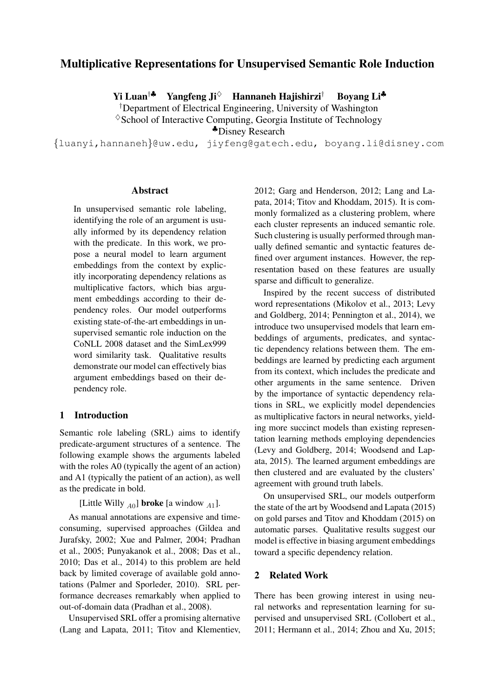# Multiplicative Representations for Unsupervised Semantic Role Induction

Yi Luan<sup>†</sup> Yangfeng Ji<sup>◇</sup> Hannaneh Haiishirzi<sup>†</sup> Boyang Li<sup>♣</sup>

*†* Department of Electrical Engineering, University of Washington  $\Diamond$  School of Interactive Computing, Georgia Institute of Technology

<sup>|</sup>Disney Research

*{*luanyi,hannaneh*}*@uw.edu, jiyfeng@gatech.edu, boyang.li@disney.com

#### Abstract

In unsupervised semantic role labeling, identifying the role of an argument is usually informed by its dependency relation with the predicate. In this work, we propose a neural model to learn argument embeddings from the context by explicitly incorporating dependency relations as multiplicative factors, which bias argument embeddings according to their dependency roles. Our model outperforms existing state-of-the-art embeddings in unsupervised semantic role induction on the CoNLL 2008 dataset and the SimLex999 word similarity task. Qualitative results demonstrate our model can effectively bias argument embeddings based on their dependency role.

# 1 Introduction

Semantic role labeling (SRL) aims to identify predicate-argument structures of a sentence. The following example shows the arguments labeled with the roles A0 (typically the agent of an action) and A1 (typically the patient of an action), as well as the predicate in bold.

[Little Willy *<sup>A</sup>*0] broke [a window *<sup>A</sup>*1].

As manual annotations are expensive and timeconsuming, supervised approaches (Gildea and Jurafsky, 2002; Xue and Palmer, 2004; Pradhan et al., 2005; Punyakanok et al., 2008; Das et al., 2010; Das et al., 2014) to this problem are held back by limited coverage of available gold annotations (Palmer and Sporleder, 2010). SRL performance decreases remarkably when applied to out-of-domain data (Pradhan et al., 2008).

Unsupervised SRL offer a promising alternative (Lang and Lapata, 2011; Titov and Klementiev, 2012; Garg and Henderson, 2012; Lang and Lapata, 2014; Titov and Khoddam, 2015). It is commonly formalized as a clustering problem, where each cluster represents an induced semantic role. Such clustering is usually performed through manually defined semantic and syntactic features defined over argument instances. However, the representation based on these features are usually sparse and difficult to generalize.

Inspired by the recent success of distributed word representations (Mikolov et al., 2013; Levy and Goldberg, 2014; Pennington et al., 2014), we introduce two unsupervised models that learn embeddings of arguments, predicates, and syntactic dependency relations between them. The embeddings are learned by predicting each argument from its context, which includes the predicate and other arguments in the same sentence. Driven by the importance of syntactic dependency relations in SRL, we explicitly model dependencies as multiplicative factors in neural networks, yielding more succinct models than existing representation learning methods employing dependencies (Levy and Goldberg, 2014; Woodsend and Lapata, 2015). The learned argument embeddings are then clustered and are evaluated by the clusters' agreement with ground truth labels.

On unsupervised SRL, our models outperform the state of the art by Woodsend and Lapata (2015) on gold parses and Titov and Khoddam (2015) on automatic parses. Qualitative results suggest our model is effective in biasing argument embeddings toward a specific dependency relation.

# 2 Related Work

There has been growing interest in using neural networks and representation learning for supervised and unsupervised SRL (Collobert et al., 2011; Hermann et al., 2014; Zhou and Xu, 2015;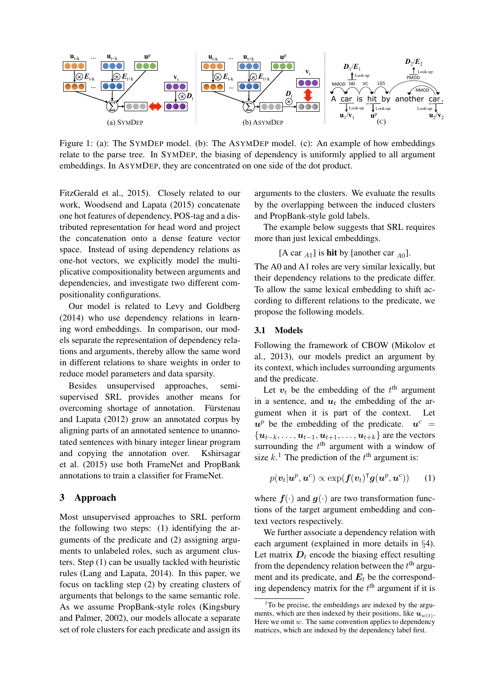

Figure 1: (a): The SYMDEP model. (b): The ASYMDEP model. (c): An example of how embeddings relate to the parse tree. In SYMDEP, the biasing of dependency is uniformly applied to all argument embeddings. In ASYMDEP, they are concentrated on one side of the dot product.

FitzGerald et al., 2015). Closely related to our work, Woodsend and Lapata (2015) concatenate one hot features of dependency, POS-tag and a distributed representation for head word and project the concatenation onto a dense feature vector space. Instead of using dependency relations as one-hot vectors, we explicitly model the multiplicative compositionality between arguments and dependencies, and investigate two different compositionality configurations.

Our model is related to Levy and Goldberg (2014) who use dependency relations in learning word embeddings. In comparison, our models separate the representation of dependency relations and arguments, thereby allow the same word in different relations to share weights in order to reduce model parameters and data sparsity.

Besides unsupervised approaches, semisupervised SRL provides another means for overcoming shortage of annotation. Fürstenau and Lapata (2012) grow an annotated corpus by aligning parts of an annotated sentence to unannotated sentences with binary integer linear program and copying the annotation over. Kshirsagar et al. (2015) use both FrameNet and PropBank annotations to train a classifier for FrameNet.

## 3 Approach

Most unsupervised approaches to SRL perform the following two steps: (1) identifying the arguments of the predicate and (2) assigning arguments to unlabeled roles, such as argument clusters. Step (1) can be usually tackled with heuristic rules (Lang and Lapata, 2014). In this paper, we focus on tackling step (2) by creating clusters of arguments that belongs to the same semantic role. As we assume PropBank-style roles (Kingsbury and Palmer, 2002), our models allocate a separate set of role clusters for each predicate and assign its

arguments to the clusters. We evaluate the results by the overlapping between the induced clusters and PropBank-style gold labels.

The example below suggests that SRL requires more than just lexical embeddings.

 $[A \text{ car } A_1]$  is **hit** by [another car  $_{A_0}$ ].

The A0 and A1 roles are very similar lexically, but their dependency relations to the predicate differ. To allow the same lexical embedding to shift according to different relations to the predicate, we propose the following models.

## 3.1 Models

Following the framework of CBOW (Mikolov et al., 2013), our models predict an argument by its context, which includes surrounding arguments and the predicate.

Let  $v_t$  be the embedding of the  $t^{\text{th}}$  argument in a sentence, and  $u_t$  the embedding of the argument when it is part of the context. Let  $u^p$  be the embedding of the predicate.  $u^c =$  $\{u_{t-k}, \ldots, u_{t-1}, u_{t+1}, \ldots, u_{t+k}\}$  are the vectors surrounding the  $t<sup>th</sup>$  argument with a window of size  $k$ <sup>1</sup>. The prediction of the  $t<sup>th</sup>$  argument is:

$$
p(\boldsymbol{v}_t|\boldsymbol{u}^p,\boldsymbol{u}^c) \propto \exp(\boldsymbol{f}(\boldsymbol{v}_t)^{\mathsf{T}}\boldsymbol{g}(\boldsymbol{u}^p,\boldsymbol{u}^c)) \qquad (1)
$$

where  $f(\cdot)$  and  $g(\cdot)$  are two transformation functions of the target argument embedding and context vectors respectively.

We further associate a dependency relation with each argument (explained in more details in *§*4). Let matrix  $D_t$  encode the biasing effect resulting from the dependency relation between the  $t<sup>th</sup>$  argument and its predicate, and  $E_t$  be the corresponding dependency matrix for the  $t<sup>th</sup>$  argument if it is

<sup>&</sup>lt;sup>1</sup>To be precise, the embeddings are indexed by the arguments, which are then indexed by their positions, like  $u_{w(t)}$ . Here we omit  $w$ . The same convention applies to dependency matrices, which are indexed by the dependency label first.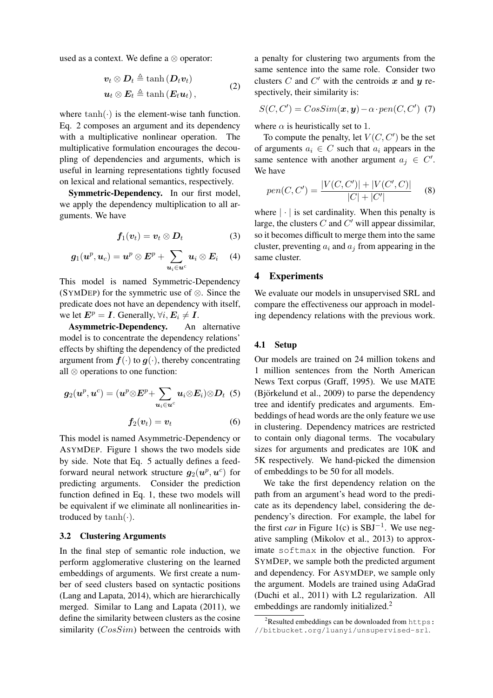used as a context. We define a  $\otimes$  operator:

$$
\boldsymbol{v}_t \otimes \boldsymbol{D}_t \triangleq \tanh(\boldsymbol{D}_t \boldsymbol{v}_t)
$$
  

$$
\boldsymbol{u}_t \otimes \boldsymbol{E}_t \triangleq \tanh(\boldsymbol{E}_t \boldsymbol{u}_t),
$$
 (2)

where  $tanh(\cdot)$  is the element-wise tanh function. Eq. 2 composes an argument and its dependency with a multiplicative nonlinear operation. The multiplicative formulation encourages the decoupling of dependencies and arguments, which is useful in learning representations tightly focused on lexical and relational semantics, respectively.

Symmetric-Dependency. In our first model, we apply the dependency multiplication to all arguments. We have

$$
\boldsymbol{f}_1(\boldsymbol{v}_t)=\boldsymbol{v}_t\otimes\boldsymbol{D}_t\qquad \qquad (3)
$$

$$
\boldsymbol{g}_1(\boldsymbol{u}^p, \boldsymbol{u}_c) = \boldsymbol{u}^p \otimes \boldsymbol{E}^p + \sum_{\boldsymbol{u}_i \in \boldsymbol{u}^c} \boldsymbol{u}_i \otimes \boldsymbol{E}_i \quad \ \ (4)
$$

This model is named Symmetric-Dependency (SYMDEP) for the symmetric use of  $\otimes$ . Since the predicate does not have an dependency with itself, we let  $E^p = I$ . Generally,  $\forall i$ ,  $E_i \neq I$ .<br>**Asymmetric-Dependency.** An alternative

Asymmetric-Dependency. model is to concentrate the dependency relations' effects by shifting the dependency of the predicted argument from  $f(\cdot)$  to  $g(\cdot)$ , thereby concentrating all  $\otimes$  operations to one function:

$$
\boldsymbol{g}_2(\boldsymbol{u}^p, \boldsymbol{u}^c) = (\boldsymbol{u}^p \otimes E^p\!+\! \sum_{\boldsymbol{u}_i \in \boldsymbol{u}^c} \boldsymbol{u}_i \!\otimes\! E_i) \!\otimes\! \boldsymbol{D}_t\tag{5}
$$

$$
\boldsymbol{f_2(v_t)} = \boldsymbol{v_t} \tag{6}
$$

This model is named Asymmetric-Dependency or ASYMDEP. Figure 1 shows the two models side by side. Note that Eq. 5 actually defines a feedforward neural network structure  $g_2(u^p, u^c)$  for predicting arguments. Consider the prediction function defined in Eq. 1, these two models will be equivalent if we eliminate all nonlinearities introduced by tanh(*·*).

#### 3.2 Clustering Arguments

In the final step of semantic role induction, we perform agglomerative clustering on the learned embeddings of arguments. We first create a number of seed clusters based on syntactic positions (Lang and Lapata, 2014), which are hierarchically merged. Similar to Lang and Lapata (2011), we define the similarity between clusters as the cosine similarity (*CosSim*) between the centroids with

a penalty for clustering two arguments from the same sentence into the same role. Consider two clusters *C* and *C'* with the centroids  $x$  and  $y$  respectively, their similarity is:

$$
S(C, C') = CosSim(\boldsymbol{x}, \boldsymbol{y}) - \alpha \cdot pen(C, C') \tag{7}
$$

where  $\alpha$  is heuristically set to 1.

To compute the penalty, let  $V(C, C')$  be the set of arguments  $a_i \in C$  such that  $a_i$  appears in the same sentence with another argument  $a_j \in C'$ . We have

$$
pen(C, C') = \frac{|V(C, C')| + |V(C', C)|}{|C| + |C'|} \tag{8}
$$

where  $|\cdot|$  is set cardinality. When this penalty is large, the clusters  $C$  and  $C'$  will appear dissimilar, so it becomes difficult to merge them into the same cluster, preventing  $a_i$  and  $a_j$  from appearing in the same cluster.

## 4 Experiments

We evaluate our models in unsupervised SRL and compare the effectiveness our approach in modeling dependency relations with the previous work.

## 4.1 Setup

Our models are trained on 24 million tokens and 1 million sentences from the North American News Text corpus (Graff, 1995). We use MATE  $(Bj$ örkelund et al., 2009) to parse the dependency tree and identify predicates and arguments. Embeddings of head words are the only feature we use in clustering. Dependency matrices are restricted to contain only diagonal terms. The vocabulary sizes for arguments and predicates are 10K and 5K respectively. We hand-picked the dimension of embeddings to be 50 for all models.

We take the first dependency relation on the path from an argument's head word to the predicate as its dependency label, considering the dependency's direction. For example, the label for the first *car* in Figure 1(c) is  $SBJ^{-1}$ . We use negative sampling (Mikolov et al., 2013) to approximate softmax in the objective function. For SYMDEP, we sample both the predicted argument and dependency. For ASYMDEP, we sample only the argument. Models are trained using AdaGrad (Duchi et al., 2011) with L2 regularization. All embeddings are randomly initialized.<sup>2</sup>

 $2$ Resulted embeddings can be downloaded from https: //bitbucket.org/luanyi/unsupervised-srl.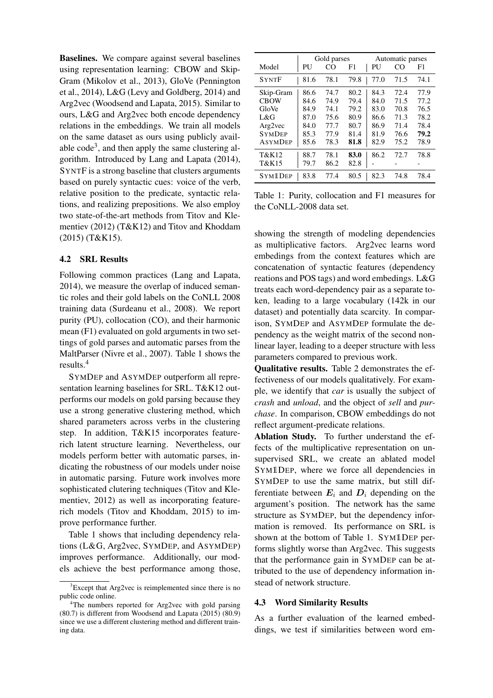Baselines. We compare against several baselines using representation learning: CBOW and Skip-Gram (Mikolov et al., 2013), GloVe (Pennington et al., 2014), L&G (Levy and Goldberg, 2014) and Arg2vec (Woodsend and Lapata, 2015). Similar to ours, L&G and Arg2vec both encode dependency relations in the embeddings. We train all models on the same dataset as ours using publicly available  $\text{code}^3$ , and then apply the same clustering algorithm. Introduced by Lang and Lapata (2014), SYNTF is a strong baseline that clusters arguments based on purely syntactic cues: voice of the verb, relative position to the predicate, syntactic relations, and realizing prepositions. We also employ two state-of-the-art methods from Titov and Klementiev (2012) (T&K12) and Titov and Khoddam (2015) (T&K15).

## 4.2 SRL Results

Following common practices (Lang and Lapata, 2014), we measure the overlap of induced semantic roles and their gold labels on the CoNLL 2008 training data (Surdeanu et al., 2008). We report purity (PU), collocation (CO), and their harmonic mean (F1) evaluated on gold arguments in two settings of gold parses and automatic parses from the MaltParser (Nivre et al., 2007). Table 1 shows the results.4

SYMDEP and ASYMDEP outperform all representation learning baselines for SRL. T&K12 outperforms our models on gold parsing because they use a strong generative clustering method, which shared parameters across verbs in the clustering step. In addition, T&K15 incorporates featurerich latent structure learning. Nevertheless, our models perform better with automatic parses, indicating the robustness of our models under noise in automatic parsing. Future work involves more sophisticated clutering techniques (Titov and Klementiev, 2012) as well as incorporating featurerich models (Titov and Khoddam, 2015) to improve performance further.

Table 1 shows that including dependency relations (L&G, Arg2vec, SYMDEP, and ASYMDEP) improves performance. Additionally, our models achieve the best performance among those,

|                | Gold parses |      | Automatic parses |      |      |      |
|----------------|-------------|------|------------------|------|------|------|
| Model          | PU          | CO   | F1               | PU   | CO   | F1   |
| <b>SYNTF</b>   | 81.6        | 78.1 | 79.8             | 77.0 | 71.5 | 74.1 |
| Skip-Gram      | 86.6        | 74.7 | 80.2             | 84.3 | 72.4 | 77.9 |
| <b>CBOW</b>    | 84.6        | 74.9 | 79.4             | 84.0 | 71.5 | 77.2 |
| GloVe          | 84.9        | 74.1 | 79.2             | 83.0 | 70.8 | 76.5 |
| L&G            | 87.0        | 75.6 | 80.9             | 86.6 | 71.3 | 78.2 |
| Arg2vec        | 84.0        | 77.7 | 80.7             | 86.9 | 71.4 | 78.4 |
| <b>SYMDEP</b>  | 85.3        | 77.9 | 81.4             | 81.9 | 76.6 | 79.2 |
| <b>ASYMDEP</b> | 85.6        | 78.3 | 81.8             | 82.9 | 75.2 | 78.9 |
| T&K12          | 88.7        | 78.1 | 83.0             | 86.2 | 72.7 | 78.8 |
| T&K15          | 79.7        | 86.2 | 82.8             |      |      |      |
| <b>SYM1DEP</b> | 83.8        | 77.4 | 80.5             | 82.3 | 74.8 | 78.4 |

Table 1: Purity, collocation and F1 measures for the CoNLL-2008 data set.

showing the strength of modeling dependencies as multiplicative factors. Arg2vec learns word embedings from the context features which are concatenation of syntactic features (dependency reations and POS tags) and word embedings. L&G treats each word-dependency pair as a separate token, leading to a large vocabulary (142k in our dataset) and potentially data scarcity. In comparison, SYMDEP and ASYMDEP formulate the dependency as the weight matrix of the second nonlinear layer, leading to a deeper structure with less parameters compared to previous work.

Qualitative results. Table 2 demonstrates the effectiveness of our models qualitatively. For example, we identify that *car* is usually the subject of *crash* and *unload*, and the object of *sell* and *purchase*. In comparison, CBOW embeddings do not reflect argument-predicate relations.

Ablation Study. To further understand the effects of the multiplicative representation on unsupervised SRL, we create an ablated model SYM1DEP, where we force all dependencies in SYMDEP to use the same matrix, but still differentiate between  $E_i$  and  $D_i$  depending on the argument's position. The network has the same structure as SYMDEP, but the dependency information is removed. Its performance on SRL is shown at the bottom of Table 1. SYM1DEP performs slightly worse than Arg2vec. This suggests that the performance gain in SYMDEP can be attributed to the use of dependency information instead of network structure.

## 4.3 Word Similarity Results

As a further evaluation of the learned embeddings, we test if similarities between word em-

<sup>&</sup>lt;sup>3</sup>Except that Arg2vec is reimplemented since there is no public code online.

<sup>&</sup>lt;sup>4</sup>The numbers reported for Arg2vec with gold parsing (80.7) is different from Woodsend and Lapata (2015) (80.9) since we use a different clustering method and different training data.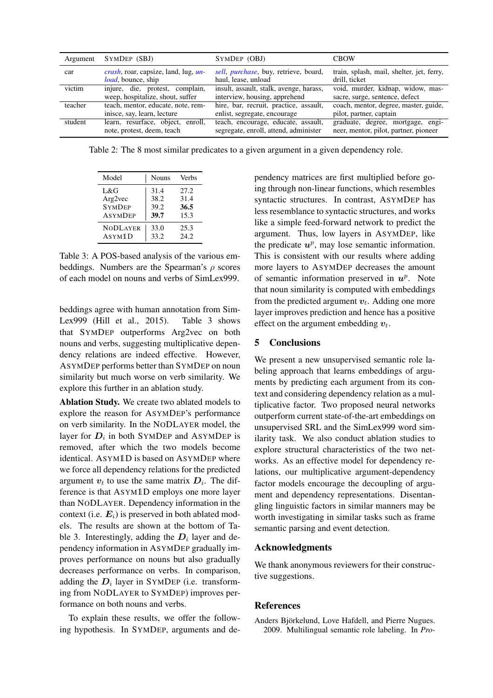| Argument | SYMDEP (SBJ)                                     | SYMDEP (OBJ)                            | <b>CROW</b>                               |
|----------|--------------------------------------------------|-----------------------------------------|-------------------------------------------|
| car      | <i>crash</i> , roar, capsize, land, lug, $\mu$ - | sell, purchase, buy, retrieve, board,   | train, splash, mail, shelter, jet, ferry, |
|          | <i>load</i> , bounce, ship                       | haul, lease, unload                     | drill, ticket                             |
| victim   | injure, die, protest, complain,                  | insult, assault, stalk, avenge, harass, | void, murder, kidnap, widow, mas-         |
|          | weep, hospitalize, shout, suffer                 | interview, housing, apprehend           | sacre, surge, sentence, defect            |
| teacher  | teach, mentor, educate, note, rem-               | hire, bar, recruit, practice, assault,  | coach, mentor, degree, master, guide,     |
|          | inisce, say, learn, lecture                      | enlist, segregate, encourage            | pilot, partner, captain                   |
| student  | learn, resurface, object, enroll,                | teach, encourage, educate, assault,     | graduate, degree, mortgage, engi-         |
|          | note, protest, deem, teach                       | segregate, enroll, attend, administer   | neer, mentor, pilot, partner, pioneer     |

Table 2: The 8 most similar predicates to a given argument in a given dependency role.

| Model               | <b>Nouns</b> | <b>Verbs</b> |
|---------------------|--------------|--------------|
| L&G                 | 31.4         | 27.2         |
| Arg2vec             | 38.2         | 31.4         |
| <b>SYMDEP</b>       | 39.2         | 36.5         |
| <b>ASYMDEP</b>      | 39.7         | 15.3         |
| <b>NODLAYER</b>     | 33.0         | 25.3         |
| ASYM <sub>1</sub> D | 33.2         | 24.2         |

Table 3: A POS-based analysis of the various embeddings. Numbers are the Spearman's  $\rho$  scores of each model on nouns and verbs of SimLex999.

beddings agree with human annotation from Sim-Lex999 (Hill et al., 2015). Table 3 shows that SYMDEP outperforms Arg2vec on both nouns and verbs, suggesting multiplicative dependency relations are indeed effective. However, ASYMDEP performs better than SYMDEP on noun similarity but much worse on verb similarity. We explore this further in an ablation study.

Ablation Study. We create two ablated models to explore the reason for ASYMDEP's performance on verb similarity. In the NODLAYER model, the layer for  $D_i$  in both SYMDEP and ASYMDEP is removed, after which the two models become identical. ASYM1D is based on ASYMDEP where we force all dependency relations for the predicted argument  $v_t$  to use the same matrix  $D_i$ . The difference is that ASYM1D employs one more layer than NODLAYER. Dependency information in the context (i.e. *Ei*) is preserved in both ablated models. The results are shown at the bottom of Table 3. Interestingly, adding the  $D_i$  layer and dependency information in ASYMDEP gradually improves performance on nouns but also gradually decreases performance on verbs. In comparison, adding the  $D_i$  layer in SYMDEP (i.e. transforming from NODLAYER to SYMDEP) improves performance on both nouns and verbs.

To explain these results, we offer the following hypothesis. In SYMDEP, arguments and dependency matrices are first multiplied before going through non-linear functions, which resembles syntactic structures. In contrast, ASYMDEP has less resemblance to syntactic structures, and works like a simple feed-forward network to predict the argument. Thus, low layers in ASYMDEP, like the predicate  $u^p$ , may lose semantic information. This is consistent with our results where adding more layers to ASYMDEP decreases the amount of semantic information preserved in  $u^p$ . Note that noun similarity is computed with embeddings from the predicted argument *vt*. Adding one more layer improves prediction and hence has a positive effect on the argument embedding *vt*.

# 5 Conclusions

We present a new unsupervised semantic role labeling approach that learns embeddings of arguments by predicting each argument from its context and considering dependency relation as a multiplicative factor. Two proposed neural networks outperform current state-of-the-art embeddings on unsupervised SRL and the SimLex999 word similarity task. We also conduct ablation studies to explore structural characteristics of the two networks. As an effective model for dependency relations, our multiplicative argument-dependency factor models encourage the decoupling of argument and dependency representations. Disentangling linguistic factors in similar manners may be worth investigating in similar tasks such as frame semantic parsing and event detection.

# Acknowledgments

We thank anonymous reviewers for their constructive suggestions.

# References

Anders Björkelund, Love Hafdell, and Pierre Nugues. 2009. Multilingual semantic role labeling. In *Pro-*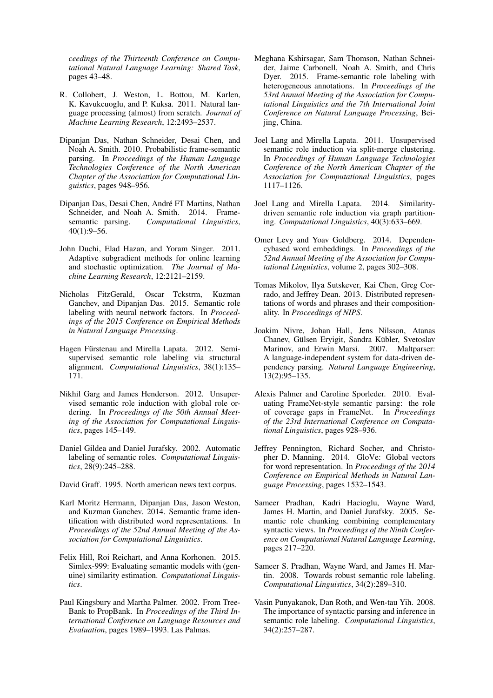*ceedings of the Thirteenth Conference on Computational Natural Language Learning: Shared Task*, pages 43–48.

- R. Collobert, J. Weston, L. Bottou, M. Karlen, K. Kavukcuoglu, and P. Kuksa. 2011. Natural language processing (almost) from scratch. *Journal of Machine Learning Research*, 12:2493–2537.
- Dipanjan Das, Nathan Schneider, Desai Chen, and Noah A. Smith. 2010. Probabilistic frame-semantic parsing. In *Proceedings of the Human Language Technologies Conference of the North American Chapter of the Associattion for Computational Linguistics*, pages 948–956.
- Dipanjan Das, Desai Chen, André FT Martins, Nathan Schneider, and Noah A. Smith. 2014. Framesemantic parsing. *Computational Linguistics*, 40(1):9–56.
- John Duchi, Elad Hazan, and Yoram Singer. 2011. Adaptive subgradient methods for online learning and stochastic optimization. *The Journal of Machine Learning Research*, 12:2121–2159.
- Nicholas FitzGerald, Oscar Tckstrm, Kuzman Ganchev, and Dipanjan Das. 2015. Semantic role labeling with neural network factors. In *Proceedings of the 2015 Conference on Empirical Methods in Natural Language Processing*.
- Hagen Fürstenau and Mirella Lapata. 2012. Semisupervised semantic role labeling via structural alignment. *Computational Linguistics*, 38(1):135– 171.
- Nikhil Garg and James Henderson. 2012. Unsupervised semantic role induction with global role ordering. In *Proceedings of the 50th Annual Meeting of the Association for Computational Linguistics*, pages 145–149.
- Daniel Gildea and Daniel Jurafsky. 2002. Automatic labeling of semantic roles. *Computational Linguistics*, 28(9):245–288.
- David Graff. 1995. North american news text corpus.
- Karl Moritz Hermann, Dipanjan Das, Jason Weston, and Kuzman Ganchev. 2014. Semantic frame identification with distributed word representations. In *Proceedings of the 52nd Annual Meeting of the Association for Computational Linguistics*.
- Felix Hill, Roi Reichart, and Anna Korhonen. 2015. Simlex-999: Evaluating semantic models with (genuine) similarity estimation. *Computational Linguistics*.
- Paul Kingsbury and Martha Palmer. 2002. From Tree-Bank to PropBank. In *Proceedings of the Third International Conference on Language Resources and Evaluation*, pages 1989–1993. Las Palmas.
- Meghana Kshirsagar, Sam Thomson, Nathan Schneider, Jaime Carbonell, Noah A. Smith, and Chris Dyer. 2015. Frame-semantic role labeling with heterogeneous annotations. In *Proceedings of the 53rd Annual Meeting of the Association for Computational Linguistics and the 7th International Joint Conference on Natural Language Processing*, Beijing, China.
- Joel Lang and Mirella Lapata. 2011. Unsupervised semantic role induction via split-merge clustering. In *Proceedings of Human Language Technologies Conference of the North American Chapter of the Association for Computational Linguistics*, pages 1117–1126.
- Joel Lang and Mirella Lapata. 2014. Similaritydriven semantic role induction via graph partitioning. *Computational Linguistics*, 40(3):633–669.
- Omer Levy and Yoav Goldberg. 2014. Dependencybased word embeddings. In *Proceedings of the 52nd Annual Meeting of the Association for Computational Linguistics*, volume 2, pages 302–308.
- Tomas Mikolov, Ilya Sutskever, Kai Chen, Greg Corrado, and Jeffrey Dean. 2013. Distributed representations of words and phrases and their compositionality. In *Proceedings of NIPS*.
- Joakim Nivre, Johan Hall, Jens Nilsson, Atanas Chanev, Gülsen Ervigit, Sandra Kübler, Svetoslav Marinov, and Erwin Marsi. 2007. Maltparser: A language-independent system for data-driven dependency parsing. *Natural Language Engineering*, 13(2):95–135.
- Alexis Palmer and Caroline Sporleder. 2010. Evaluating FrameNet-style semantic parsing: the role of coverage gaps in FrameNet. In *Proceedings of the 23rd International Conference on Computational Linguistics*, pages 928–936.
- Jeffrey Pennington, Richard Socher, and Christopher D. Manning. 2014. GloVe: Global vectors for word representation. In *Proceedings of the 2014 Conference on Empirical Methods in Natural Language Processing*, pages 1532–1543.
- Sameer Pradhan, Kadri Hacioglu, Wayne Ward, James H. Martin, and Daniel Jurafsky. 2005. Semantic role chunking combining complementary syntactic views. In *Proceedings of the Ninth Conference on Computational Natural Language Learning*, pages 217–220.
- Sameer S. Pradhan, Wayne Ward, and James H. Martin. 2008. Towards robust semantic role labeling. *Computational Linguistics*, 34(2):289–310.
- Vasin Punyakanok, Dan Roth, and Wen-tau Yih. 2008. The importance of syntactic parsing and inference in semantic role labeling. *Computational Linguistics*, 34(2):257–287.